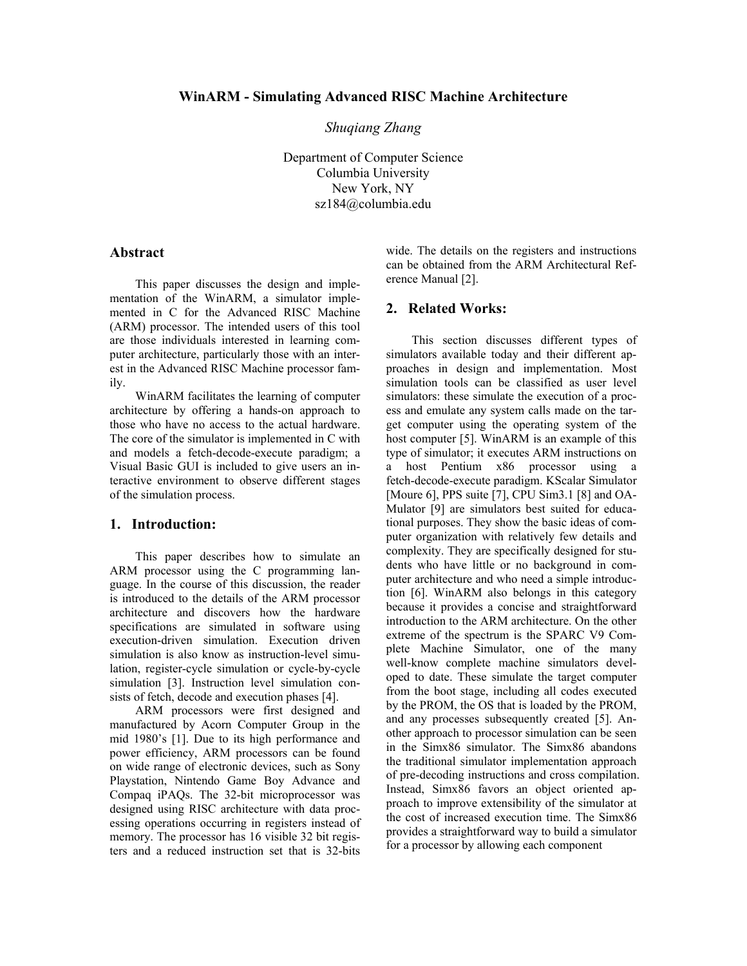*Shuqiang Zhang* 

Department of Computer Science Columbia University New York, NY sz184@columbia.edu

## **Abstract**

This paper discusses the design and implementation of the WinARM, a simulator implemented in C for the Advanced RISC Machine (ARM) processor. The intended users of this tool are those individuals interested in learning computer architecture, particularly those with an interest in the Advanced RISC Machine processor family.

WinARM facilitates the learning of computer architecture by offering a hands-on approach to those who have no access to the actual hardware. The core of the simulator is implemented in C with and models a fetch-decode-execute paradigm; a Visual Basic GUI is included to give users an interactive environment to observe different stages of the simulation process.

### **1. Introduction:**

This paper describes how to simulate an ARM processor using the C programming language. In the course of this discussion, the reader is introduced to the details of the ARM processor architecture and discovers how the hardware specifications are simulated in software using execution-driven simulation. Execution driven simulation is also know as instruction-level simulation, register-cycle simulation or cycle-by-cycle simulation [3]. Instruction level simulation consists of fetch, decode and execution phases [4].

ARM processors were first designed and manufactured by Acorn Computer Group in the mid 1980's [1]. Due to its high performance and power efficiency, ARM processors can be found on wide range of electronic devices, such as Sony Playstation, Nintendo Game Boy Advance and Compaq iPAQs. The 32-bit microprocessor was designed using RISC architecture with data processing operations occurring in registers instead of memory. The processor has 16 visible 32 bit registers and a reduced instruction set that is 32-bits

wide. The details on the registers and instructions can be obtained from the ARM Architectural Reference Manual [2].

## **2. Related Works:**

This section discusses different types of simulators available today and their different approaches in design and implementation. Most simulation tools can be classified as user level simulators: these simulate the execution of a process and emulate any system calls made on the target computer using the operating system of the host computer [5]. WinARM is an example of this type of simulator; it executes ARM instructions on a host Pentium x86 processor using a fetch-decode-execute paradigm. KScalar Simulator [Moure 6], PPS suite [7], CPU Sim3.1 [8] and OA-Mulator [9] are simulators best suited for educational purposes. They show the basic ideas of computer organization with relatively few details and complexity. They are specifically designed for students who have little or no background in computer architecture and who need a simple introduction [6]. WinARM also belongs in this category because it provides a concise and straightforward introduction to the ARM architecture. On the other extreme of the spectrum is the SPARC V9 Complete Machine Simulator, one of the many well-know complete machine simulators developed to date. These simulate the target computer from the boot stage, including all codes executed by the PROM, the OS that is loaded by the PROM, and any processes subsequently created [5]. Another approach to processor simulation can be seen in the Simx86 simulator. The Simx86 abandons the traditional simulator implementation approach of pre-decoding instructions and cross compilation. Instead, Simx86 favors an object oriented approach to improve extensibility of the simulator at the cost of increased execution time. The Simx86 provides a straightforward way to build a simulator for a processor by allowing each component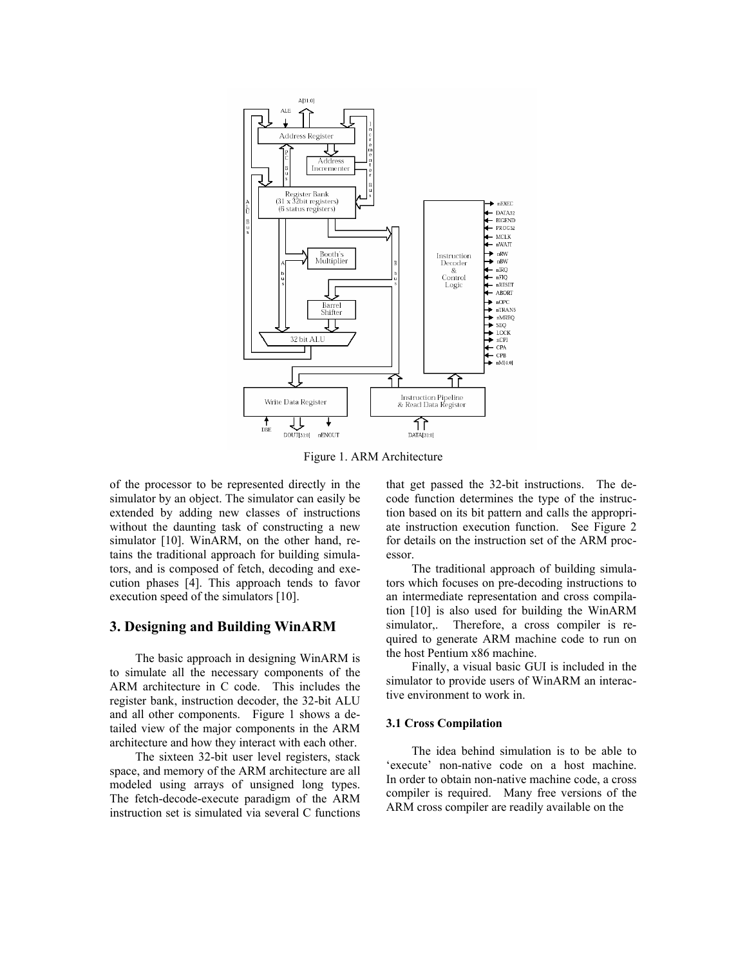

Figure 1. ARM Architecture

of the processor to be represented directly in the simulator by an object. The simulator can easily be extended by adding new classes of instructions without the daunting task of constructing a new simulator [10]. WinARM, on the other hand, retains the traditional approach for building simulators, and is composed of fetch, decoding and execution phases [4]. This approach tends to favor execution speed of the simulators [10].

## **3. Designing and Building WinARM**

The basic approach in designing WinARM is to simulate all the necessary components of the ARM architecture in C code. This includes the register bank, instruction decoder, the 32-bit ALU and all other components. Figure 1 shows a detailed view of the major components in the ARM architecture and how they interact with each other.

The sixteen 32-bit user level registers, stack space, and memory of the ARM architecture are all modeled using arrays of unsigned long types. The fetch-decode-execute paradigm of the ARM instruction set is simulated via several C functions that get passed the 32-bit instructions. The decode function determines the type of the instruction based on its bit pattern and calls the appropriate instruction execution function. See Figure 2 for details on the instruction set of the ARM processor.

The traditional approach of building simulators which focuses on pre-decoding instructions to an intermediate representation and cross compilation [10] is also used for building the WinARM simulator,. Therefore, a cross compiler is required to generate ARM machine code to run on the host Pentium x86 machine.

Finally, a visual basic GUI is included in the simulator to provide users of WinARM an interactive environment to work in.

#### **3.1 Cross Compilation**

The idea behind simulation is to be able to 'execute' non-native code on a host machine. In order to obtain non-native machine code, a cross compiler is required. Many free versions of the ARM cross compiler are readily available on the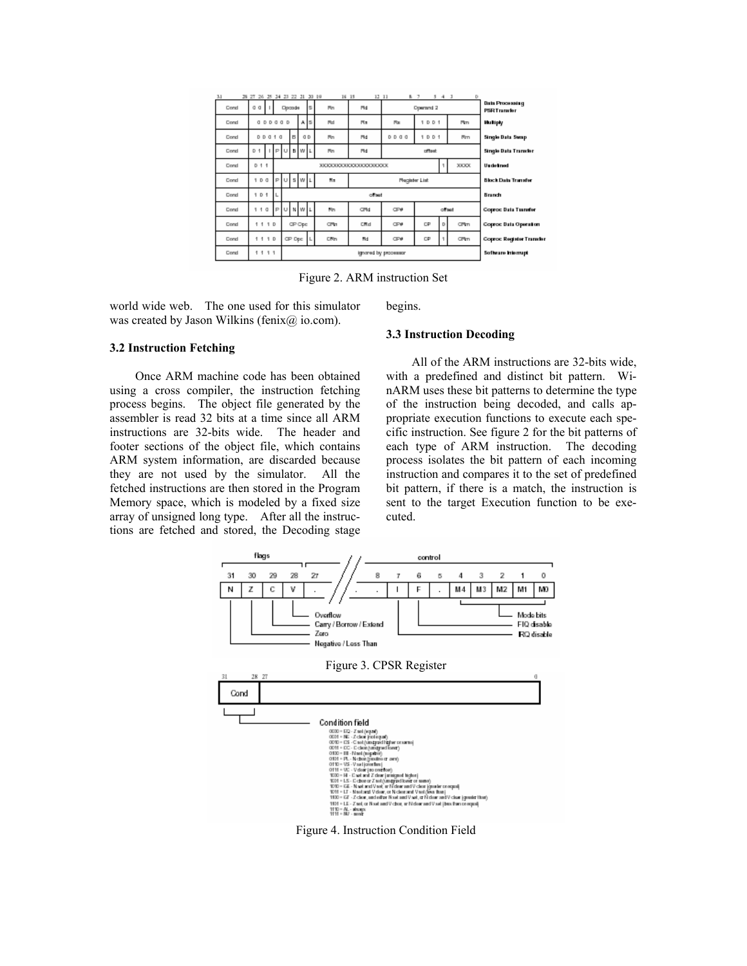| B 7<br>$3 - 4 - 3$<br>D                                   |  |            | 12, 11                  | 16 15 |    | 26 25 24 23 22 21 20 19 |                  |    | 38 2T               |      | 3.1 |
|-----------------------------------------------------------|--|------------|-------------------------|-------|----|-------------------------|------------------|----|---------------------|------|-----|
| <b>Data Processing</b><br>Operand 2<br><b>PSRTransfer</b> |  |            |                         | Rn    |    | Opcode                  |                  |    | a<br>a              | Cond |     |
| 1001<br>Pim<br><b>Uku kipiy</b>                           |  | Pos.       | Fin.                    | Rd    |    | А                       | 0.00000          |    |                     | Cond |     |
| <b>Single Data Swap</b><br>1001<br>Firm                   |  | 0000       | Fid                     | Rn    | 0D | в                       | <b>DD010</b>     |    |                     | Cond |     |
| <b>Single Data Transfer</b><br>officet                    |  |            | Fid                     | Rn    |    | <b>B</b> W L            | P<br>$\cup$      |    | D.<br>1             | Cond |     |
| XXXX<br>Undetired                                         |  |            | XXXXXXXXXXXXXXXXXXXXXXX |       |    |                         |                  |    | $D$ 1 1             | Cond |     |
| <b>BlockData Transfer</b><br><b>Megister List</b>         |  |            |                         | Na.   |    | $U$ s $W$ L             | $\triangleright$ |    | $D$ $Q$             | Cond |     |
| <b>Branch</b>                                             |  |            | offset                  |       |    |                         |                  |    | D <sub>1</sub><br>۹ | Cond |     |
| <b>Coproc Bata Tuandor</b><br>offset                      |  | <b>CP#</b> | CPM                     | Nn.   |    | NWL                     | P<br>U           |    | 10                  | Cond |     |
| D<br>CPlm<br>cP<br><b>Coproc Bata Operation</b>           |  | <b>CP#</b> | CMd                     | CPW   |    | OP Opc                  |                  |    | 1110                | Cond |     |
| cP<br>CPlm<br><b>Coproc Register Transfe</b>              |  | <b>CP#</b> | Md                      | CNn   |    | OP Opc                  |                  | 10 | ٠                   | Cond |     |
| <b>Software Interrupt</b>                                 |  |            | ignored by processor    |       |    |                         |                  |    | 1111                | Cond |     |

Figure 2. ARM instruction Set

world wide web. The one used for this simulator was created by Jason Wilkins (fenix@ io.com).

begins.

# **3.3 Instruction Decoding**

# **3.2 Instruction Fetching**

Once ARM machine code has been obtained using a cross compiler, the instruction fetching process begins. The object file generated by the assembler is read 32 bits at a time since all ARM instructions are 32-bits wide. The header and footer sections of the object file, which contains ARM system information, are discarded because they are not used by the simulator. All the fetched instructions are then stored in the Program Memory space, which is modeled by a fixed size array of unsigned long type. After all the instructions are fetched and stored, the Decoding stage

All of the ARM instructions are 32-bits wide, with a predefined and distinct bit pattern. WinARM uses these bit patterns to determine the type of the instruction being decoded, and calls appropriate execution functions to execute each specific instruction. See figure 2 for the bit patterns of each type of ARM instruction. The decoding process isolates the bit pattern of each incoming instruction and compares it to the set of predefined bit pattern, if there is a match, the instruction is sent to the target Execution function to be executed.



Figure 4. Instruction Condition Field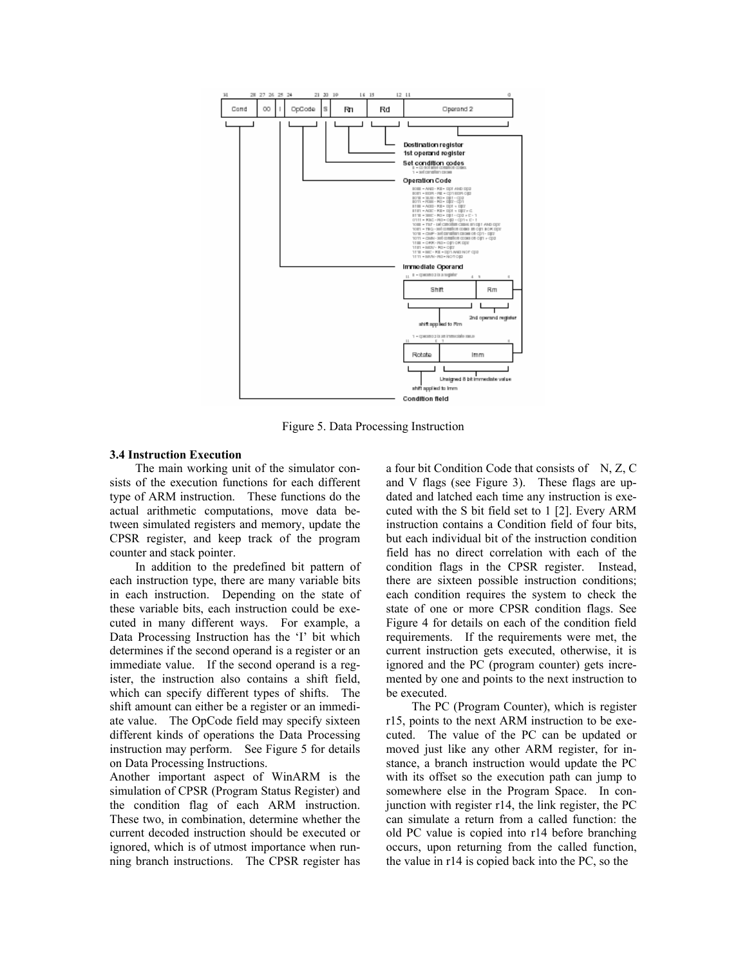

Figure 5. Data Processing Instruction

### **3.4 Instruction Execution**

The main working unit of the simulator consists of the execution functions for each different type of ARM instruction. These functions do the actual arithmetic computations, move data between simulated registers and memory, update the CPSR register, and keep track of the program counter and stack pointer.

In addition to the predefined bit pattern of each instruction type, there are many variable bits in each instruction. Depending on the state of these variable bits, each instruction could be executed in many different ways. For example, a Data Processing Instruction has the 'I' bit which determines if the second operand is a register or an immediate value. If the second operand is a register, the instruction also contains a shift field, which can specify different types of shifts. The shift amount can either be a register or an immediate value. The OpCode field may specify sixteen different kinds of operations the Data Processing instruction may perform. See Figure 5 for details on Data Processing Instructions.

Another important aspect of WinARM is the simulation of CPSR (Program Status Register) and the condition flag of each ARM instruction. These two, in combination, determine whether the current decoded instruction should be executed or ignored, which is of utmost importance when running branch instructions. The CPSR register has a four bit Condition Code that consists of  $N$ , Z, C and V flags (see Figure 3). These flags are updated and latched each time any instruction is executed with the S bit field set to 1 [2]. Every ARM instruction contains a Condition field of four bits, but each individual bit of the instruction condition field has no direct correlation with each of the condition flags in the CPSR register. Instead, there are sixteen possible instruction conditions; each condition requires the system to check the state of one or more CPSR condition flags. See Figure 4 for details on each of the condition field requirements. If the requirements were met, the current instruction gets executed, otherwise, it is ignored and the PC (program counter) gets incremented by one and points to the next instruction to be executed.

The PC (Program Counter), which is register r15, points to the next ARM instruction to be executed. The value of the PC can be updated or moved just like any other ARM register, for instance, a branch instruction would update the PC with its offset so the execution path can jump to somewhere else in the Program Space. In conjunction with register r14, the link register, the PC can simulate a return from a called function: the old PC value is copied into r14 before branching occurs, upon returning from the called function, the value in r14 is copied back into the PC, so the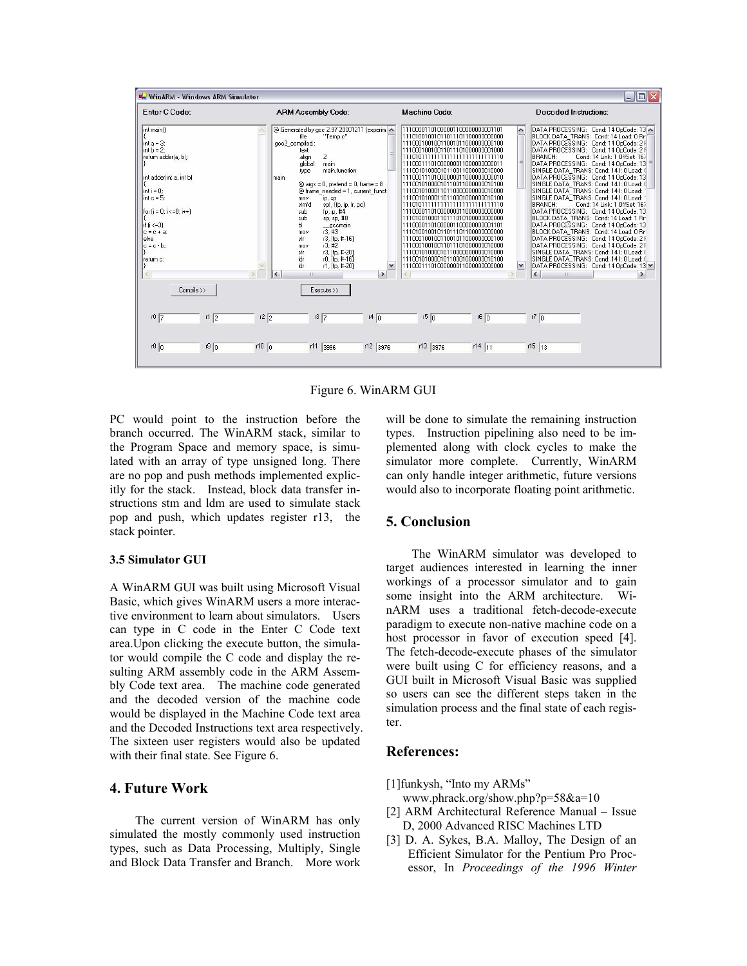

Figure 6. WinARM GUI

PC would point to the instruction before the branch occurred. The WinARM stack, similar to the Program Space and memory space, is simulated with an array of type unsigned long. There are no pop and push methods implemented explicitly for the stack. Instead, block data transfer instructions stm and ldm are used to simulate stack pop and push, which updates register r13, the stack pointer.

#### **3.5 Simulator GUI**

A WinARM GUI was built using Microsoft Visual Basic, which gives WinARM users a more interactive environment to learn about simulators. Users can type in C code in the Enter C Code text area.Upon clicking the execute button, the simulator would compile the C code and display the resulting ARM assembly code in the ARM Assembly Code text area. The machine code generated and the decoded version of the machine code would be displayed in the Machine Code text area and the Decoded Instructions text area respectively. The sixteen user registers would also be updated with their final state. See Figure 6.

## **4. Future Work**

The current version of WinARM has only simulated the mostly commonly used instruction types, such as Data Processing, Multiply, Single and Block Data Transfer and Branch. More work will be done to simulate the remaining instruction types. Instruction pipelining also need to be implemented along with clock cycles to make the simulator more complete. Currently, WinARM can only handle integer arithmetic, future versions would also to incorporate floating point arithmetic.

# **5. Conclusion**

The WinARM simulator was developed to target audiences interested in learning the inner workings of a processor simulator and to gain some insight into the ARM architecture. WinARM uses a traditional fetch-decode-execute paradigm to execute non-native machine code on a host processor in favor of execution speed [4]. The fetch-decode-execute phases of the simulator were built using C for efficiency reasons, and a GUI built in Microsoft Visual Basic was supplied so users can see the different steps taken in the simulation process and the final state of each register.

# **References:**

[1]funkysh, "Into my ARMs"

- www.phrack.org/show.php?p=58&a=10
- [2] ARM Architectural Reference Manual Issue D, 2000 Advanced RISC Machines LTD
- [3] D. A. Sykes, B.A. Malloy, The Design of an Efficient Simulator for the Pentium Pro Processor, In *Proceedings of the 1996 Winter*